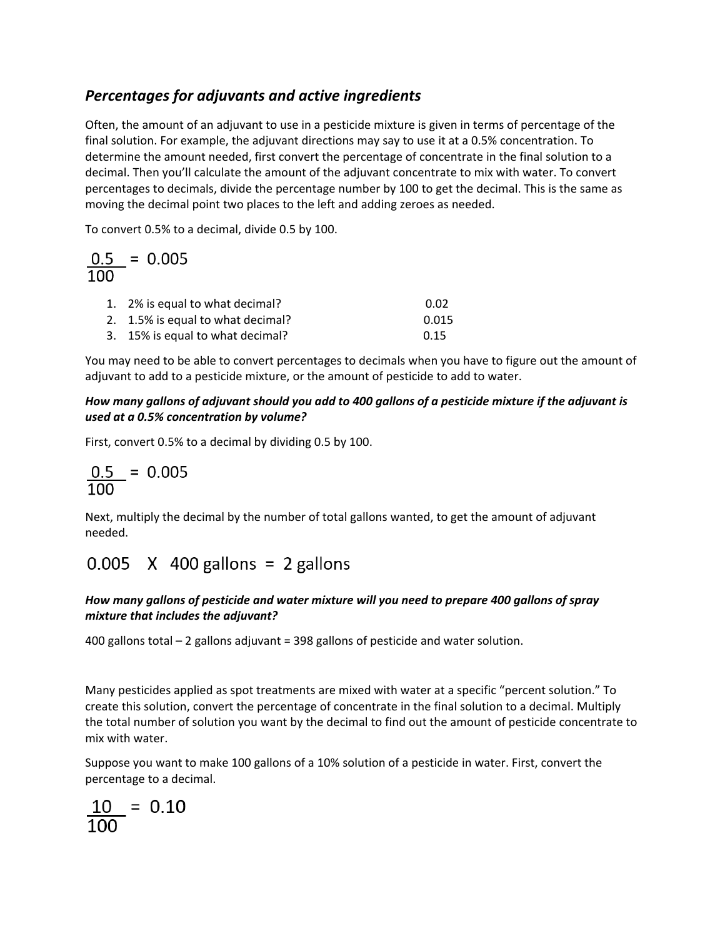### *Percentages for adjuvants and active ingredients*

Often, the amount of an adjuvant to use in a pesticide mixture is given in terms of percentage of the final solution. For example, the adjuvant directions may say to use it at a 0.5% concentration. To determine the amount needed, first convert the percentage of concentrate in the final solution to a decimal. Then you'll calculate the amount of the adjuvant concentrate to mix with water. To convert percentages to decimals, divide the percentage number by 100 to get the decimal. This is the same as moving the decimal point two places to the left and adding zeroes as needed.

To convert 0.5% to a decimal, divide 0.5 by 100.

$$
\frac{0.5}{100} = 0.005
$$

| 1. 2% is equal to what decimal?   | 0.02  |
|-----------------------------------|-------|
| 2. 1.5% is equal to what decimal? | 0.015 |
| 3. 15% is equal to what decimal?  | 0.15  |

You may need to be able to convert percentages to decimals when you have to figure out the amount of adjuvant to add to a pesticide mixture, or the amount of pesticide to add to water.

### How many gallons of adjuvant should you add to 400 gallons of a pesticide mixture if the adjuvant is *used at a 0.5% concentration by volume?*

First, convert 0.5% to a decimal by dividing 0.5 by 100.

$$
\frac{0.5}{100} = 0.005
$$

Next, multiply the decimal by the number of total gallons wanted, to get the amount of adjuvant needed.

## $0.005$  X 400 gallons = 2 gallons

### *How many gallons of pesticide and water mixture will you need to prepare 400 gallons of spray mixture that includes the adjuvant?*

400 gallons total – 2 gallons adjuvant = 398 gallons of pesticide and water solution.

Many pesticides applied as spot treatments are mixed with water at a specific "percent solution." To create this solution, convert the percentage of concentrate in the final solution to a decimal. Multiply the total number of solution you want by the decimal to find out the amount of pesticide concentrate to mix with water.

Suppose you want to make 100 gallons of a 10% solution of a pesticide in water. First, convert the percentage to a decimal.

$$
\frac{10}{100} = 0.10
$$